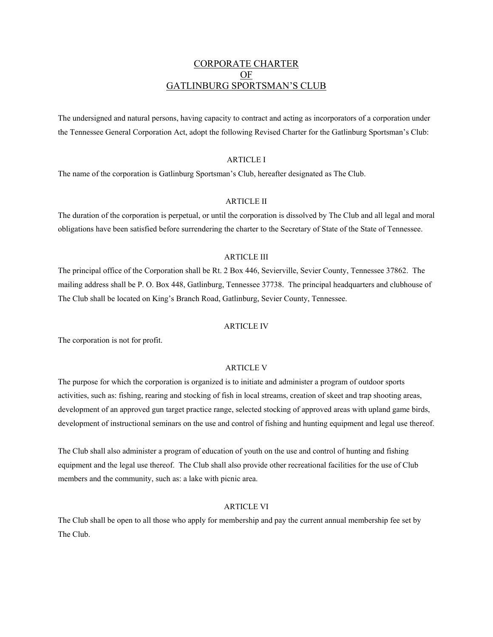# CORPORATE CHARTER OF GATLINBURG SPORTSMAN'S CLUB

The undersigned and natural persons, having capacity to contract and acting as incorporators of a corporation under the Tennessee General Corporation Act, adopt the following Revised Charter for the Gatlinburg Sportsman's Club:

## ARTICLE I

The name of the corporation is Gatlinburg Sportsman's Club, hereafter designated as The Club.

### ARTICLE II

The duration of the corporation is perpetual, or until the corporation is dissolved by The Club and all legal and moral obligations have been satisfied before surrendering the charter to the Secretary of State of the State of Tennessee.

### ARTICLE III

The principal office of the Corporation shall be Rt. 2 Box 446, Sevierville, Sevier County, Tennessee 37862. The mailing address shall be P. O. Box 448, Gatlinburg, Tennessee 37738. The principal headquarters and clubhouse of The Club shall be located on King's Branch Road, Gatlinburg, Sevier County, Tennessee.

#### ARTICLE IV

The corporation is not for profit.

## ARTICLE V

The purpose for which the corporation is organized is to initiate and administer a program of outdoor sports activities, such as: fishing, rearing and stocking of fish in local streams, creation of skeet and trap shooting areas, development of an approved gun target practice range, selected stocking of approved areas with upland game birds, development of instructional seminars on the use and control of fishing and hunting equipment and legal use thereof.

The Club shall also administer a program of education of youth on the use and control of hunting and fishing equipment and the legal use thereof. The Club shall also provide other recreational facilities for the use of Club members and the community, such as: a lake with picnic area.

### ARTICLE VI

The Club shall be open to all those who apply for membership and pay the current annual membership fee set by The Club.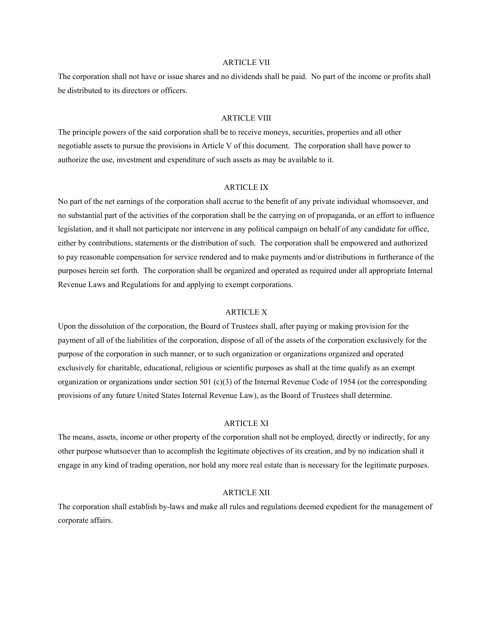## ARTICLE VII

The corporation shall not have or issue shares and no dividends shall be paid. No part of the income or profits shall be distributed to its directors or officers.

#### ARTICLE VIII

The principle powers of the said corporation shall be to receive moneys, securities, properties and all other negotiable assets to pursue the provisions in Article V of this document. The corporation shall have power to authorize the use, investment and expenditure of such assets as may be available to it.

### ARTICLE IX

No part of the net earnings of the corporation shall accrue to the benefit of any private individual whomsoever, and no substantial part of the activities of the corporation shall be the carrying on of propaganda, or an effort to influence legislation, and it shall not participate nor intervene in any political campaign on behalf of any candidate for office, either by contributions, statements or the distribution of such. The corporation shall be empowered and authorized to pay reasonable compensation for service rendered and to make payments and/or distributions in furtherance of the purposes herein set forth. The corporation shall be organized and operated as required under all appropriate Internal Revenue Laws and Regulations for and applying to exempt corporations.

#### ARTICLE X

Upon the dissolution of the corporation, the Board of Trustees shall, after paying or making provision for the payment of all of the liabilities of the corporation, dispose of all of the assets of the corporation exclusively for the purpose of the corporation in such manner, or to such organization or organizations organized and operated exclusively for charitable, educational, religious or scientific purposes as shall at the time qualify as an exempt organization or organizations under section 501 (c)(3) of the Internal Revenue Code of 1954 (or the corresponding provisions of any future United States Internal Revenue Law), as the Board of Trustees shall determine.

#### ARTICLE XI

The means, assets, income or other property of the corporation shall not be employed, directly or indirectly, for any other purpose whatsoever than to accomplish the legitimate objectives of its creation, and by no indication shall it engage in any kind of trading operation, nor hold any more real estate than is necessary for the legitimate purposes.

### ARTICLE XII

The corporation shall establish by-laws and make all rules and regulations deemed expedient for the management of corporate affairs.